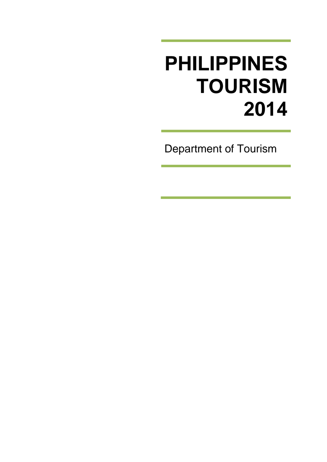# **PHILIPPINES TOURISM 2014**

Department of Tourism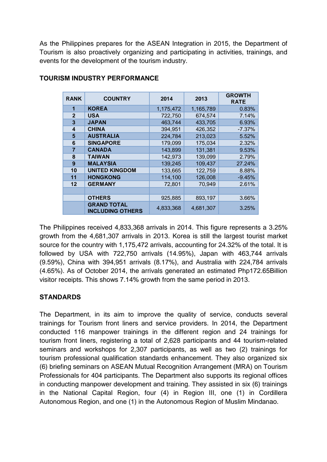As the Philippines prepares for the ASEAN Integration in 2015, the Department of Tourism is also proactively organizing and participating in activities, trainings, and events for the development of the tourism industry.

| <b>RANK</b>    | <b>COUNTRY</b>                                | 2014      | 2013      | <b>GROWTH</b><br><b>RATE</b> |
|----------------|-----------------------------------------------|-----------|-----------|------------------------------|
| 1              | <b>KOREA</b>                                  | 1,175,472 | 1,165,789 | 0.83%                        |
| $\mathbf{2}$   | <b>USA</b>                                    | 722,750   | 674,574   | 7.14%                        |
| 3              | <b>JAPAN</b>                                  | 463,744   | 433,705   | 6.93%                        |
| 4              | <b>CHINA</b>                                  | 394,951   | 426,352   | $-7.37%$                     |
| 5              | <b>AUSTRALIA</b>                              | 224,784   | 213,023   | 5.52%                        |
| 6              | <b>SINGAPORE</b>                              | 179,099   | 175,034   | 2.32%                        |
| $\overline{7}$ | <b>CANADA</b>                                 | 143,899   | 131,381   | 9.53%                        |
| 8              | <b>TAIWAN</b>                                 | 142,973   | 139,099   | 2.79%                        |
| 9              | <b>MALAYSIA</b>                               | 139,245   | 109,437   | 27.24%                       |
| 10             | <b>UNITED KINGDOM</b>                         | 133,665   | 122,759   | 8.88%                        |
| 11             | <b>HONGKONG</b>                               | 114,100   | 126,008   | $-9.45%$                     |
| 12             | <b>GERMANY</b>                                | 72,801    | 70,949    | 2.61%                        |
|                |                                               |           |           |                              |
|                | <b>OTHERS</b>                                 | 925,885   | 893,197   | 3.66%                        |
|                | <b>GRAND TOTAL</b><br><b>INCLUDING OTHERS</b> | 4,833,368 | 4,681,307 | 3.25%                        |

# **TOURISM INDUSTRY PERFORMANCE**

The Philippines received 4,833,368 arrivals in 2014. This figure represents a 3.25% growth from the 4,681,307 arrivals in 2013. Korea is still the largest tourist market source for the country with 1,175,472 arrivals, accounting for 24.32% of the total. It is followed by USA with 722,750 arrivals (14.95%), Japan with 463,744 arrivals (9.59%), China with 394,951 arrivals (8.17%), and Australia with 224,784 arrivals (4.65%). As of October 2014, the arrivals generated an estimated Php172.65Billion visitor receipts. This shows 7.14% growth from the same period in 2013.

# **STANDARDS**

The Department, in its aim to improve the quality of service, conducts several trainings for Tourism front liners and service providers. In 2014, the Department conducted 116 manpower trainings in the different region and 24 trainings for tourism front liners, registering a total of 2,628 participants and 44 tourism-related seminars and workshops for 2,307 participants, as well as two (2) trainings for tourism professional qualification standards enhancement. They also organized six (6) briefing seminars on ASEAN Mutual Recognition Arrangement (MRA) on Tourism Professionals for 404 participants. The Department also supports its regional offices in conducting manpower development and training. They assisted in six (6) trainings in the National Capital Region, four (4) in Region III, one (1) in Cordillera Autonomous Region, and one (1) in the Autonomous Region of Muslim Mindanao.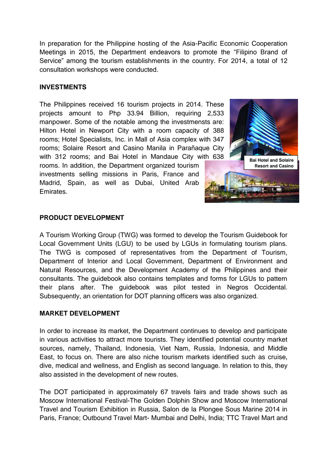In preparation for the Philippine hosting of the Asia-Pacific Economic Cooperation Meetings in 2015, the Department endeavors to promote the "Filipino Brand of Service" among the tourism establishments in the country. For 2014, a total of 12 consultation workshops were conducted.

#### **INVESTMENTS**

The Philippines received 16 tourism projects in 2014. These projects amount to Php 33.94 Billion, requiring 2,533 manpower. Some of the notable among the investmensts are: Hilton Hotel in Newport City with a room capacity of 388 rooms; Hotel Specialists, Inc. in Mall of Asia complex with 347 rooms; Solaire Resort and Casino Manila in Parañaque City with 312 rooms; and Bai Hotel in Mandaue City with 638 rooms. In addition, the Department organized tourism investments selling missions in Paris, France and Madrid, Spain, as well as Dubai, United Arab Emirates.



## **PRODUCT DEVELOPMENT**

A Tourism Working Group (TWG) was formed to develop the Tourism Guidebook for Local Government Units (LGU) to be used by LGUs in formulating tourism plans. The TWG is composed of representatives from the Department of Tourism, Department of Interior and Local Government, Department of Environment and Natural Resources, and the Development Academy of the Philippines and their consultants. The guidebook also contains templates and forms for LGUs to pattern their plans after. The guidebook was pilot tested in Negros Occidental. Subsequently, an orientation for DOT planning officers was also organized.

## **MARKET DEVELOPMENT**

In order to increase its market, the Department continues to develop and participate in various activities to attract more tourists. They identified potential country market sources, namely, Thailand, Indonesia, Viet Nam, Russia, Indonesia, and Middle East, to focus on. There are also niche tourism markets identified such as cruise, dive, medical and wellness, and English as second language. In relation to this, they also assisted in the development of new routes.

The DOT participated in approximately 67 travels fairs and trade shows such as Moscow International Festival-The Golden Dolphin Show and Moscow International Travel and Tourism Exhibition in Russia, Salon de la Plongee Sous Marine 2014 in Paris, France; Outbound Travel Mart- Mumbai and Delhi, India; TTC Travel Mart and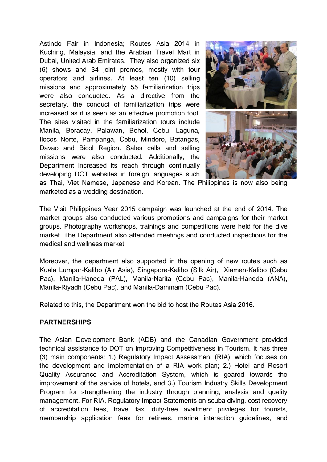Astindo Fair in Indonesia; Routes Asia 2014 in Kuching, Malaysia; and the Arabian Travel Mart in Dubai, United Arab Emirates. They also organized six (6) shows and 34 joint promos, mostly with tour operators and airlines. At least ten (10) selling missions and approximately 55 familiarization trips were also conducted. As a directive from the secretary, the conduct of familiarization trips were increased as it is seen as an effective promotion tool. The sites visited in the familiarization tours include Manila, Boracay, Palawan, Bohol, Cebu, Laguna, Ilocos Norte, Pampanga, Cebu, Mindoro, Batangas, Davao and Bicol Region. Sales calls and selling missions were also conducted. Additionally, the Department increased its reach through continually developing DOT websites in foreign languages such



as Thai, Viet Namese, Japanese and Korean. The Philippines is now also being marketed as a wedding destination.

The Visit Philippines Year 2015 campaign was launched at the end of 2014. The market groups also conducted various promotions and campaigns for their market groups. Photography workshops, trainings and competitions were held for the dive market. The Department also attended meetings and conducted inspections for the medical and wellness market.

Moreover, the department also supported in the opening of new routes such as Kuala Lumpur-Kalibo (Air Asia), Singapore-Kalibo (Silk Air), Xiamen-Kalibo (Cebu Pac), Manila-Haneda (PAL), Manila-Narita (Cebu Pac), Manila-Haneda (ANA), Manila-Riyadh (Cebu Pac), and Manila-Dammam (Cebu Pac).

Related to this, the Department won the bid to host the Routes Asia 2016.

#### **PARTNERSHIPS**

The Asian Development Bank (ADB) and the Canadian Government provided technical assistance to DOT on Improving Competitiveness in Tourism. It has three (3) main components: 1.) Regulatory Impact Assessment (RIA), which focuses on the development and implementation of a RIA work plan; 2.) Hotel and Resort Quality Assurance and Accreditation System, which is geared towards the improvement of the service of hotels, and 3.) Tourism Industry Skills Development Program for strengthening the industry through planning, analysis and quality management. For RIA, Regulatory Impact Statements on scuba diving, cost recovery of accreditation fees, travel tax, duty-free availment privileges for tourists, membership application fees for retirees, marine interaction guidelines, and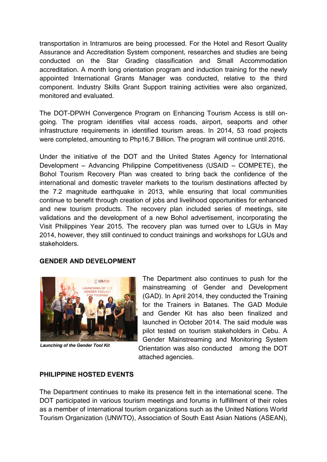transportation in Intramuros are being processed. For the Hotel and Resort Quality Assurance and Accreditation System component, researches and studies are being conducted on the Star Grading classification and Small Accommodation accreditation. A month long orientation program and induction training for the newly appointed International Grants Manager was conducted, relative to the third component. Industry Skills Grant Support training activities were also organized, monitored and evaluated.

The DOT-DPWH Convergence Program on Enhancing Tourism Access is still ongoing. The program identifies vital access roads, airport, seaports and other infrastructure requirements in identified tourism areas. In 2014, 53 road projects were completed, amounting to Php16.7 Billion. The program will continue until 2016.

Under the initiative of the DOT and the United States Agency for International Development – Advancing Philippine Competitiveness (USAID – COMPETE), the Bohol Tourism Recovery Plan was created to bring back the confidence of the international and domestic traveler markets to the tourism destinations affected by the 7.2 magnitude earthquake in 2013, while ensuring that local communities continue to benefit through creation of jobs and livelihood opportunities for enhanced and new tourism products. The recovery plan included series of meetings, site validations and the development of a new Bohol advertisement, incorporating the Visit Philippines Year 2015. The recovery plan was turned over to LGUs in May 2014, however, they still continued to conduct trainings and workshops for LGUs and stakeholders.

#### **GENDER AND DEVELOPMENT**



*Launching of the Gender Tool Kit*

The Department also continues to push for the mainstreaming of Gender and Development (GAD). In April 2014, they conducted the Training for the Trainers in Batanes. The GAD Module and Gender Kit has also been finalized and launched in October 2014. The said module was pilot tested on tourism stakeholders in Cebu. A Gender Mainstreaming and Monitoring System Orientation was also conducted among the DOT attached agencies.

## **PHILIPPINE HOSTED EVENTS**

The Department continues to make its presence felt in the international scene. The DOT participated in various tourism meetings and forums in fulfillment of their roles as a member of international tourism organizations such as the United Nations World Tourism Organization (UNWTO), Association of South East Asian Nations (ASEAN),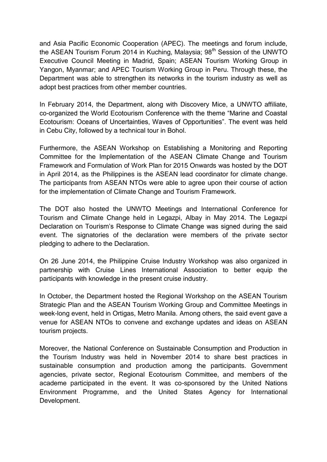and Asia Pacific Economic Cooperation (APEC). The meetings and forum include, the ASEAN Tourism Forum 2014 in Kuching, Malaysia; 98<sup>th</sup> Session of the UNWTO Executive Council Meeting in Madrid, Spain; ASEAN Tourism Working Group in Yangon, Myanmar; and APEC Tourism Working Group in Peru. Through these, the Department was able to strengthen its networks in the tourism industry as well as adopt best practices from other member countries.

In February 2014, the Department, along with Discovery Mice, a UNWTO affiliate, co-organized the World Ecotourism Conference with the theme "Marine and Coastal Ecotourism: Oceans of Uncertainties, Waves of Opportunities". The event was held in Cebu City, followed by a technical tour in Bohol.

Furthermore, the ASEAN Workshop on Establishing a Monitoring and Reporting Committee for the Implementation of the ASEAN Climate Change and Tourism Framework and Formulation of Work Plan for 2015 Onwards was hosted by the DOT in April 2014, as the Philippines is the ASEAN lead coordinator for climate change. The participants from ASEAN NTOs were able to agree upon their course of action for the implementation of Climate Change and Tourism Framework.

The DOT also hosted the UNWTO Meetings and International Conference for Tourism and Climate Change held in Legazpi, Albay in May 2014. The Legazpi Declaration on Tourism's Response to Climate Change was signed during the said event. The signatories of the declaration were members of the private sector pledging to adhere to the Declaration.

On 26 June 2014, the Philippine Cruise Industry Workshop was also organized in partnership with Cruise Lines International Association to better equip the participants with knowledge in the present cruise industry.

In October, the Department hosted the Regional Workshop on the ASEAN Tourism Strategic Plan and the ASEAN Tourism Working Group and Committee Meetings in week-long event, held in Ortigas, Metro Manila. Among others, the said event gave a venue for ASEAN NTOs to convene and exchange updates and ideas on ASEAN tourism projects.

Moreover, the National Conference on Sustainable Consumption and Production in the Tourism Industry was held in November 2014 to share best practices in sustainable consumption and production among the participants. Government agencies, private sector, Regional Ecotourism Committee, and members of the academe participated in the event. It was co-sponsored by the United Nations Environment Programme, and the United States Agency for International Development.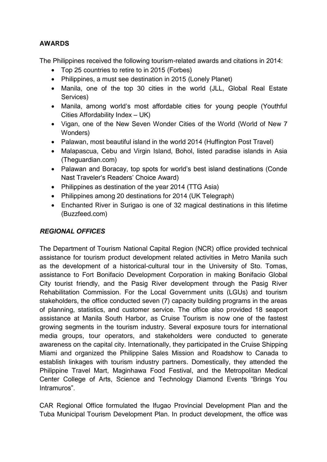## **AWARDS**

The Philippines received the following tourism-related awards and citations in 2014:

- Top 25 countries to retire to in 2015 (Forbes)
- Philippines, a must see destination in 2015 (Lonely Planet)
- Manila, one of the top 30 cities in the world (JLL, Global Real Estate Services)
- Manila, among world's most affordable cities for young people (Youthful Cities Affordability Index – UK)
- Vigan, one of the New Seven Wonder Cities of the World (World of New 7 Wonders)
- Palawan, most beautiful island in the world 2014 (Huffington Post Travel)
- Malapascua, Cebu and Virgin Island, Bohol, listed paradise islands in Asia (Theguardian.com)
- Palawan and Boracay, top spots for world's best island destinations (Conde Nast Traveler's Readers' Choice Award)
- Philippines as destination of the year 2014 (TTG Asia)
- Philippines among 20 destinations for 2014 (UK Telegraph)
- Enchanted River in Surigao is one of 32 magical destinations in this lifetime (Buzzfeed.com)

# *REGIONAL OFFICES*

The Department of Tourism National Capital Region (NCR) office provided technical assistance for tourism product development related activities in Metro Manila such as the development of a historical-cultural tour in the University of Sto. Tomas, assistance to Fort Bonifacio Development Corporation in making Bonifacio Global City tourist friendly, and the Pasig River development through the Pasig River Rehabilitation Commission. For the Local Government units (LGUs) and tourism stakeholders, the office conducted seven (7) capacity building programs in the areas of planning, statistics, and customer service. The office also provided 18 seaport assistance at Manila South Harbor, as Cruise Tourism is now one of the fastest growing segments in the tourism industry. Several exposure tours for international media groups, tour operators, and stakeholders were conducted to generate awareness on the capital city. Internationally, they participated in the Cruise Shipping Miami and organized the Philippine Sales Mission and Roadshow to Canada to establish linkages with tourism industry partners. Domestically, they attended the Philippine Travel Mart, Maginhawa Food Festival, and the Metropolitan Medical Center College of Arts, Science and Technology Diamond Events "Brings You Intramuros".

CAR Regional Office formulated the Ifugao Provincial Development Plan and the Tuba Municipal Tourism Development Plan. In product development, the office was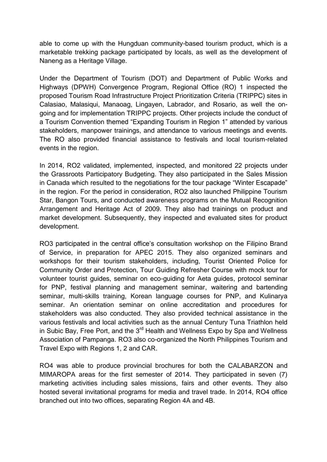able to come up with the Hungduan community-based tourism product, which is a marketable trekking package participated by locals, as well as the development of Naneng as a Heritage Village.

Under the Department of Tourism (DOT) and Department of Public Works and Highways (DPWH) Convergence Program, Regional Office (RO) 1 inspected the proposed Tourism Road Infrastructure Project Prioritization Criteria (TRIPPC) sites in Calasiao, Malasiqui, Manaoag, Lingayen, Labrador, and Rosario, as well the ongoing and for implementation TRIPPC projects. Other projects include the conduct of a Tourism Convention themed "Expanding Tourism in Region 1" attended by various stakeholders, manpower trainings, and attendance to various meetings and events. The RO also provided financial assistance to festivals and local tourism-related events in the region.

In 2014, RO2 validated, implemented, inspected, and monitored 22 projects under the Grassroots Participatory Budgeting. They also participated in the Sales Mission in Canada which resulted to the negotiations for the tour package "Winter Escapade" in the region. For the period in consideration, RO2 also launched Philippine Tourism Star, Bangon Tours, and conducted awareness programs on the Mutual Recognition Arrangement and Heritage Act of 2009. They also had trainings on product and market development. Subsequently, they inspected and evaluated sites for product development.

RO3 participated in the central office's consultation workshop on the Filipino Brand of Service, in preparation for APEC 2015. They also organized seminars and workshops for their tourism stakeholders, including, Tourist Oriented Police for Community Order and Protection, Tour Guiding Refresher Course with mock tour for volunteer tourist guides, seminar on eco-guiding for Aeta guides, protocol seminar for PNP, festival planning and management seminar, waitering and bartending seminar, multi-skills training, Korean language courses for PNP, and Kulinarya seminar. An orientation seminar on online accreditation and procedures for stakeholders was also conducted. They also provided technical assistance in the various festivals and local activities such as the annual Century Tuna Triathlon held in Subic Bay, Free Port, and the 3<sup>rd</sup> Health and Wellness Expo by Spa and Wellness Association of Pampanga. RO3 also co-organized the North Philippines Tourism and Travel Expo with Regions 1, 2 and CAR.

RO4 was able to produce provincial brochures for both the CALABARZON and MIMAROPA areas for the first semester of 2014. They participated in seven (7) marketing activities including sales missions, fairs and other events. They also hosted several invitational programs for media and travel trade. In 2014, RO4 office branched out into two offices, separating Region 4A and 4B.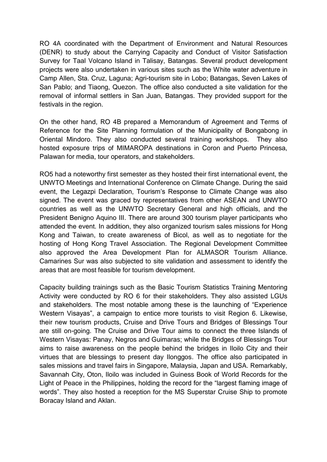RO 4A coordinated with the Department of Environment and Natural Resources (DENR) to study about the Carrying Capacity and Conduct of Visitor Satisfaction Survey for Taal Volcano Island in Talisay, Batangas. Several product development projects were also undertaken in various sites such as the White water adventure in Camp Allen, Sta. Cruz, Laguna; Agri-tourism site in Lobo; Batangas, Seven Lakes of San Pablo; and Tiaong, Quezon. The office also conducted a site validation for the removal of informal settlers in San Juan, Batangas. They provided support for the festivals in the region.

On the other hand, RO 4B prepared a Memorandum of Agreement and Terms of Reference for the Site Planning formulation of the Municipality of Bongabong in Oriental Mindoro. They also conducted several training workshops. They also hosted exposure trips of MIMAROPA destinations in Coron and Puerto Princesa, Palawan for media, tour operators, and stakeholders.

RO5 had a noteworthy first semester as they hosted their first international event, the UNWTO Meetings and International Conference on Climate Change. During the said event, the Legazpi Declaration, Tourism's Response to Climate Change was also signed. The event was graced by representatives from other ASEAN and UNWTO countries as well as the UNWTO Secretary General and high officials, and the President Benigno Aquino III. There are around 300 tourism player participants who attended the event. In addition, they also organized tourism sales missions for Hong Kong and Taiwan, to create awareness of Bicol, as well as to negotiate for the hosting of Hong Kong Travel Association. The Regional Development Committee also approved the Area Development Plan for ALMASOR Tourism Alliance. Camarines Sur was also subjected to site validation and assessment to identify the areas that are most feasible for tourism development.

Capacity building trainings such as the Basic Tourism Statistics Training Mentoring Activity were conducted by RO 6 for their stakeholders. They also assisted LGUs and stakeholders. The most notable among these is the launching of "Experience Western Visayas", a campaign to entice more tourists to visit Region 6. Likewise, their new tourism products, Cruise and Drive Tours and Bridges of Blessings Tour are still on-going. The Cruise and Drive Tour aims to connect the three Islands of Western Visayas: Panay, Negros and Guimaras; while the Bridges of Blessings Tour aims to raise awareness on the people behind the bridges in Iloilo City and their virtues that are blessings to present day Ilonggos. The office also participated in sales missions and travel fairs in Singapore, Malaysia, Japan and USA. Remarkably, Savannah City, Oton, Iloilo was included in Guiness Book of World Records for the Light of Peace in the Philippines, holding the record for the "largest flaming image of words". They also hosted a reception for the MS Superstar Cruise Ship to promote Boracay Island and Aklan.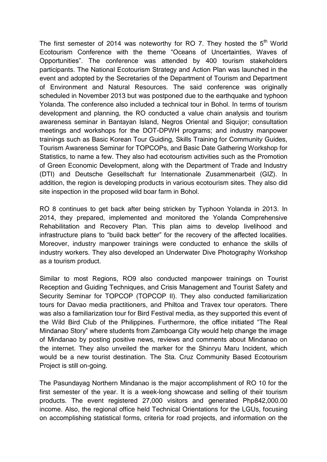The first semester of 2014 was noteworthy for RO 7. They hosted the  $5<sup>th</sup>$  World Ecotourism Conference with the theme "Oceans of Uncertainties, Waves of Opportunities". The conference was attended by 400 tourism stakeholders participants. The National Ecotourism Strategy and Action Plan was launched in the event and adopted by the Secretaries of the Department of Tourism and Department of Environment and Natural Resources. The said conference was originally scheduled in November 2013 but was postponed due to the earthquake and typhoon Yolanda. The conference also included a technical tour in Bohol. In terms of tourism development and planning, the RO conducted a value chain analysis and tourism awareness seminar in Bantayan Island, Negros Oriental and Siquijor; consultation meetings and workshops for the DOT-DPWH programs; and industry manpower trainings such as Basic Korean Tour Guiding, Skills Training for Community Guides, Tourism Awareness Seminar for TOPCOPs, and Basic Date Gathering Workshop for Statistics, to name a few. They also had ecotourism activities such as the Promotion of Green Economic Development, along with the Department of Trade and Industry (DTI) and Deutsche Gesellschaft fur Internationale Zusammenarbeit (GIZ). In addition, the region is developing products in various ecotourism sites. They also did site inspection in the proposed wild boar farm in Bohol.

RO 8 continues to get back after being stricken by Typhoon Yolanda in 2013. In 2014, they prepared, implemented and monitored the Yolanda Comprehensive Rehabilitation and Recovery Plan. This plan aims to develop livelihood and infrastructure plans to "build back better" for the recovery of the affected localities. Moreover, industry manpower trainings were conducted to enhance the skills of industry workers. They also developed an Underwater Dive Photography Workshop as a tourism product.

Similar to most Regions, RO9 also conducted manpower trainings on Tourist Reception and Guiding Techniques, and Crisis Management and Tourist Safety and Security Seminar for TOPCOP (TOPCOP II). They also conducted familiarization tours for Davao media practitioners, and Philtoa and Travex tour operators. There was also a familiarization tour for Bird Festival media, as they supported this event of the Wild Bird Club of the Philippines. Furthermore, the office initiated "The Real Mindanao Story" where students from Zamboanga City would help change the image of Mindanao by posting positive news, reviews and comments about Mindanao on the internet. They also unveiled the marker for the Shinryu Maru Incident, which would be a new tourist destination. The Sta. Cruz Community Based Ecotourism Project is still on-going.

The Pasundayag Northern Mindanao is the major accomplishment of RO 10 for the first semester of the year. It is a week-long showcase and selling of their tourism products. The event registered 27,000 visitors and generated Php842,000.00 income. Also, the regional office held Technical Orientations for the LGUs, focusing on accomplishing statistical forms, criteria for road projects, and information on the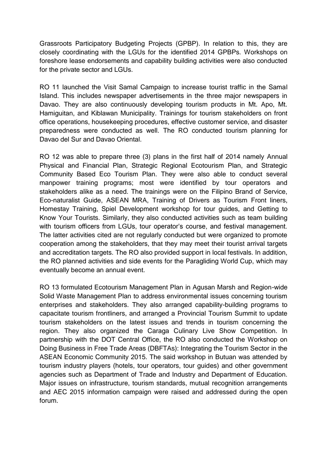Grassroots Participatory Budgeting Projects (GPBP). In relation to this, they are closely coordinating with the LGUs for the identified 2014 GPBPs. Workshops on foreshore lease endorsements and capability building activities were also conducted for the private sector and LGUs.

RO 11 launched the Visit Samal Campaign to increase tourist traffic in the Samal Island. This includes newspaper advertisements in the three major newspapers in Davao. They are also continuously developing tourism products in Mt. Apo, Mt. Hamiguitan, and Kiblawan Municipality. Trainings for tourism stakeholders on front office operations, housekeeping procedures, effective customer service, and disaster preparedness were conducted as well. The RO conducted tourism planning for Davao del Sur and Davao Oriental.

RO 12 was able to prepare three (3) plans in the first half of 2014 namely Annual Physical and Financial Plan, Strategic Regional Ecotourism Plan, and Strategic Community Based Eco Tourism Plan. They were also able to conduct several manpower training programs; most were identified by tour operators and stakeholders alike as a need. The trainings were on the Filipino Brand of Service, Eco-naturalist Guide, ASEAN MRA, Training of Drivers as Tourism Front liners, Homestay Training, Spiel Development workshop for tour guides, and Getting to Know Your Tourists. Similarly, they also conducted activities such as team building with tourism officers from LGUs, tour operator's course, and festival management. The latter activities cited are not regularly conducted but were organized to promote cooperation among the stakeholders, that they may meet their tourist arrival targets and accreditation targets. The RO also provided support in local festivals. In addition, the RO planned activities and side events for the Paragliding World Cup, which may eventually become an annual event.

RO 13 formulated Ecotourism Management Plan in Agusan Marsh and Region-wide Solid Waste Management Plan to address environmental issues concerning tourism enterprises and stakeholders. They also arranged capability-building programs to capacitate tourism frontliners, and arranged a Provincial Tourism Summit to update tourism stakeholders on the latest issues and trends in tourism concerning the region. They also organized the Caraga Culinary Live Show Competition. In partnership with the DOT Central Office, the RO also conducted the Workshop on Doing Business in Free Trade Areas (DBFTAs): Integrating the Tourism Sector in the ASEAN Economic Community 2015. The said workshop in Butuan was attended by tourism industry players (hotels, tour operators, tour guides) and other government agencies such as Department of Trade and Industry and Department of Education. Major issues on infrastructure, tourism standards, mutual recognition arrangements and AEC 2015 information campaign were raised and addressed during the open forum.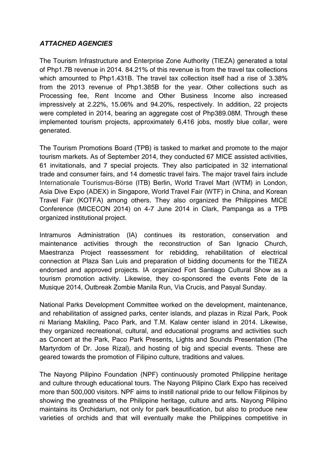## *ATTACHED AGENCIES*

The Tourism Infrastructure and Enterprise Zone Authority (TIEZA) generated a total of Php1.7B revenue in 2014. 84.21% of this revenue is from the travel tax collections which amounted to Php1.431B. The travel tax collection itself had a rise of 3.38% from the 2013 revenue of Php1.385B for the year. Other collections such as Processing fee, Rent Income and Other Business Income also increased impressively at 2.22%, 15.06% and 94.20%, respectively. In addition, 22 projects were completed in 2014, bearing an aggregate cost of Php389.08M. Through these implemented tourism projects, approximately 6,416 jobs, mostly blue collar, were generated.

The Tourism Promotions Board (TPB) is tasked to market and promote to the major tourism markets. As of September 2014, they conducted 67 MICE assisted activities, 61 invitationals, and 7 special projects. They also participated in 32 international trade and consumer fairs, and 14 domestic travel fairs. The major travel fairs include Internationale Tourismus-Börse (ITB) Berlin, World Travel Mart (WTM) in London, Asia Dive Expo (ADEX) in Singapore, World Travel Fair (WTF) in China, and Korean Travel Fair (KOTFA) among others. They also organized the Philippines MICE Conference (MICECON 2014) on 4-7 June 2014 in Clark, Pampanga as a TPB organized institutional project.

Intramuros Administration (IA) continues its restoration, conservation and maintenance activities through the reconstruction of San Ignacio Church, Maestranza Project reassessment for rebidding, rehabilitation of electrical connection at Plaza San Luis and preparation of bidding documents for the TIEZA endorsed and approved projects. IA organized Fort Santiago Cultural Show as a tourism promotion activity. Likewise, they co-sponsored the events Fete de la Musique 2014, Outbreak Zombie Manila Run, Via Crucis, and Pasyal Sunday.

National Parks Development Committee worked on the development, maintenance, and rehabilitation of assigned parks, center islands, and plazas in Rizal Park, Pook ni Mariang Makiling, Paco Park, and T.M. Kalaw center island in 2014. Likewise, they organized recreational, cultural, and educational programs and activities such as Concert at the Park, Paco Park Presents, Lights and Sounds Presentation (The Martyrdom of Dr. Jose Rizal), and hosting of big and special events. These are geared towards the promotion of Filipino culture, traditions and values.

The Nayong Pilipino Foundation (NPF) continuously promoted Philippine heritage and culture through educational tours. The Nayong Pilipino Clark Expo has received more than 500,000 visitors. NPF aims to instill national pride to our fellow Filipinos by showing the greatness of the Philippine heritage, culture and arts. Nayong Pilipino maintains its Orchidarium, not only for park beautification, but also to produce new varieties of orchids and that will eventually make the Philippines competitive in